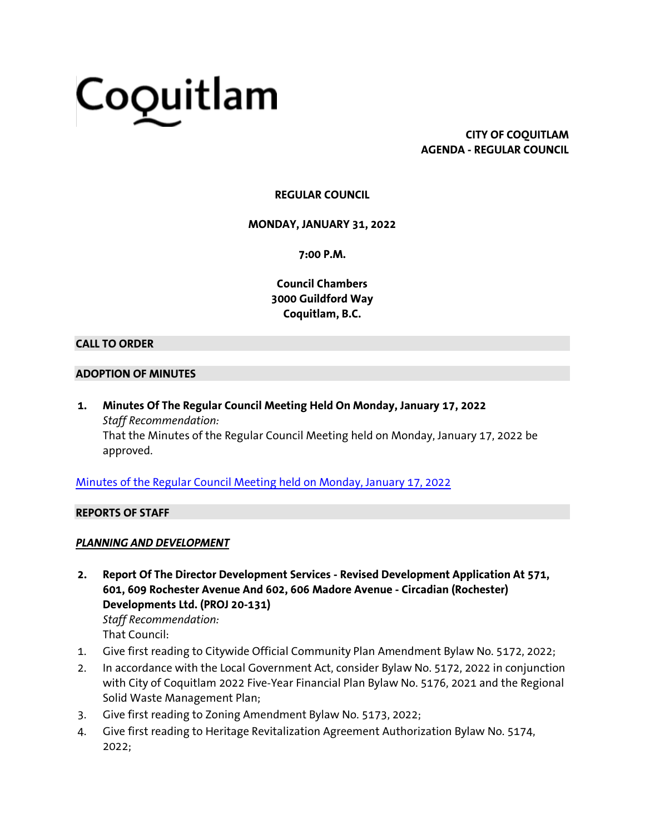# Coquitlam

**CITY OF COQUITLAM AGENDA - REGULAR COUNCIL**

## **REGULAR COUNCIL**

**MONDAY, JANUARY 31, 2022**

**7:00 P.M.**

**Council Chambers 3000 Guildford Way Coquitlam, B.C.**

## **CALL TO ORDER**

### **ADOPTION OF MINUTES**

**1. Minutes Of The Regular Council Meeting Held On Monday, January 17, 2022** *Staff Recommendation:* That the Minutes of the Regular Council Meeting held on Monday, January 17, 2022 be approved.

[Minutes of the Regular Council Meeting held on Monday, January 17, 2022](https://coquitlam.ca.granicus.com/MetaViewer.php?view_id=2&event_id=1177&meta_id=52256)

### **REPORTS OF STAFF**

## *PLANNING AND DEVELOPMENT*

- **2. Report Of The Director Development Services - Revised Development Application At 571, 601, 609 Rochester Avenue And 602, 606 Madore Avenue - Circadian (Rochester) Developments Ltd. (PROJ 20-131)** *Staff Recommendation:* That Council:
- 1. Give first reading to Citywide Official Community Plan Amendment Bylaw No. 5172, 2022;
- 2. In accordance with the Local Government Act, consider Bylaw No. 5172, 2022 in conjunction with City of Coquitlam 2022 Five-Year Financial Plan Bylaw No. 5176, 2021 and the Regional Solid Waste Management Plan;
- 3. Give first reading to Zoning Amendment Bylaw No. 5173, 2022;
- 4. Give first reading to Heritage Revitalization Agreement Authorization Bylaw No. 5174, 2022;